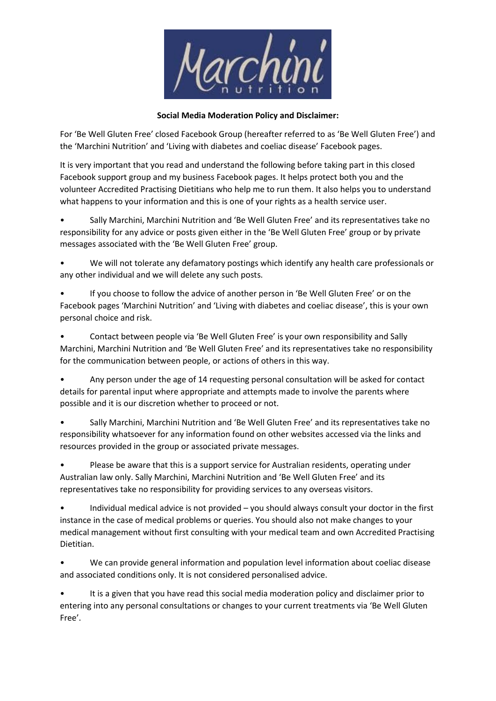

## **Social Media Moderation Policy and Disclaimer:**

For 'Be Well Gluten Free' closed Facebook Group (hereafter referred to as 'Be Well Gluten Free') and the 'Marchini Nutrition' and 'Living with diabetes and coeliac disease' Facebook pages.

It is very important that you read and understand the following before taking part in this closed Facebook support group and my business Facebook pages. It helps protect both you and the volunteer Accredited Practising Dietitians who help me to run them. It also helps you to understand what happens to your information and this is one of your rights as a health service user.

• Sally Marchini, Marchini Nutrition and 'Be Well Gluten Free' and its representatives take no responsibility for any advice or posts given either in the 'Be Well Gluten Free' group or by private messages associated with the 'Be Well Gluten Free' group.

• We will not tolerate any defamatory postings which identify any health care professionals or any other individual and we will delete any such posts.

• If you choose to follow the advice of another person in 'Be Well Gluten Free' or on the Facebook pages 'Marchini Nutrition' and 'Living with diabetes and coeliac disease', this is your own personal choice and risk.

• Contact between people via 'Be Well Gluten Free' is your own responsibility and Sally Marchini, Marchini Nutrition and 'Be Well Gluten Free' and its representatives take no responsibility for the communication between people, or actions of others in this way.

• Any person under the age of 14 requesting personal consultation will be asked for contact details for parental input where appropriate and attempts made to involve the parents where possible and it is our discretion whether to proceed or not.

• Sally Marchini, Marchini Nutrition and 'Be Well Gluten Free' and its representatives take no responsibility whatsoever for any information found on other websites accessed via the links and resources provided in the group or associated private messages.

• Please be aware that this is a support service for Australian residents, operating under Australian law only. Sally Marchini, Marchini Nutrition and 'Be Well Gluten Free' and its representatives take no responsibility for providing services to any overseas visitors.

• Individual medical advice is not provided – you should always consult your doctor in the first instance in the case of medical problems or queries. You should also not make changes to your medical management without first consulting with your medical team and own Accredited Practising Dietitian.

• We can provide general information and population level information about coeliac disease and associated conditions only. It is not considered personalised advice.

• It is a given that you have read this social media moderation policy and disclaimer prior to entering into any personal consultations or changes to your current treatments via 'Be Well Gluten Free'.